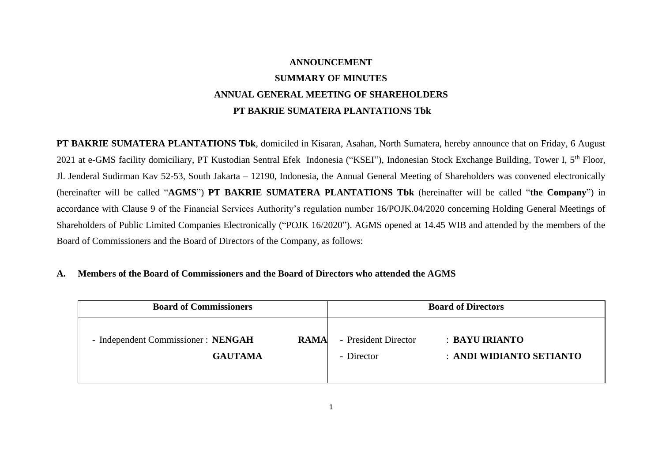# **ANNOUNCEMENT SUMMARY OF MINUTES ANNUAL GENERAL MEETING OF SHAREHOLDERS PT BAKRIE SUMATERA PLANTATIONS Tbk**

**PT BAKRIE SUMATERA PLANTATIONS Tbk**, domiciled in Kisaran, Asahan, North Sumatera, hereby announce that on Friday, 6 August 2021 at e-GMS facility domiciliary, PT Kustodian Sentral Efek Indonesia ("KSEI"), Indonesian Stock Exchange Building, Tower I, 5<sup>th</sup> Floor, Jl. Jenderal Sudirman Kav 52-53, South Jakarta – 12190, Indonesia, the Annual General Meeting of Shareholders was convened electronically (hereinafter will be called "**AGMS**") **PT BAKRIE SUMATERA PLANTATIONS Tbk** (hereinafter will be called "**the Company**") in accordance with Clause 9 of the Financial Services Authority's regulation number 16/POJK.04/2020 concerning Holding General Meetings of Shareholders of Public Limited Companies Electronically ("POJK 16/2020"). AGMS opened at 14.45 WIB and attended by the members of the Board of Commissioners and the Board of Directors of the Company, as follows:

## **A. Members of the Board of Commissioners and the Board of Directors who attended the AGMS**

| <b>Board of Commissioners</b>       |      | <b>Board of Directors</b> |                          |  |
|-------------------------------------|------|---------------------------|--------------------------|--|
| - Independent Commissioner : NENGAH | RAMA | - President Director      | : BAYU IRIANTO           |  |
| <b>GAUTAMA</b>                      |      | - Director                | : ANDI WIDIANTO SETIANTO |  |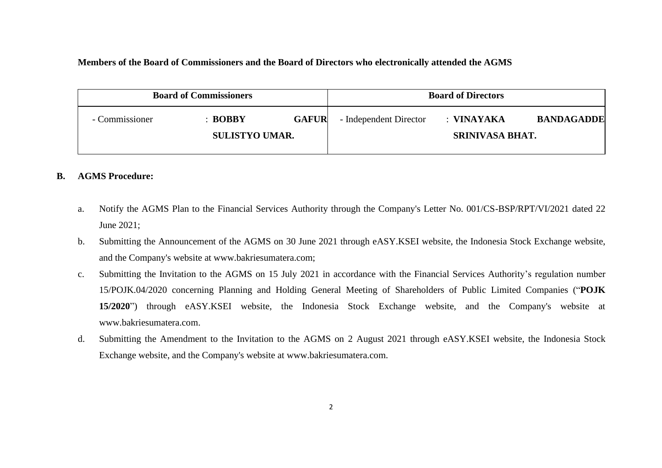### **Members of the Board of Commissioners and the Board of Directors who electronically attended the AGMS**

| <b>Board of Commissioners</b> |                                             |              | <b>Board of Directors</b> |                                      |                   |
|-------------------------------|---------------------------------------------|--------------|---------------------------|--------------------------------------|-------------------|
| - Commissioner                | $\therefore$ BOBBY<br><b>SULISTYO UMAR.</b> | <b>GAFUR</b> | - Independent Director    | : VINAYAKA<br><b>SRINIVASA BHAT.</b> | <b>BANDAGADDE</b> |
|                               |                                             |              |                           |                                      |                   |

### **B. AGMS Procedure:**

- a. Notify the AGMS Plan to the Financial Services Authority through the Company's Letter No. 001/CS-BSP/RPT/VI/2021 dated 22 June 2021;
- b. Submitting the Announcement of the AGMS on 30 June 2021 through eASY.KSEI website, the Indonesia Stock Exchange website, and the Company's website at www.bakriesumatera.com;
- c. Submitting the Invitation to the AGMS on 15 July 2021 in accordance with the Financial Services Authority's regulation number 15/POJK.04/2020 concerning Planning and Holding General Meeting of Shareholders of Public Limited Companies ("**POJK 15/2020**") through eASY.KSEI website, the Indonesia Stock Exchange website, and the Company's website at www.bakriesumatera.com.
- d. Submitting the Amendment to the Invitation to the AGMS on 2 August 2021 through eASY.KSEI website, the Indonesia Stock Exchange website, and the Company's website at www.bakriesumatera.com.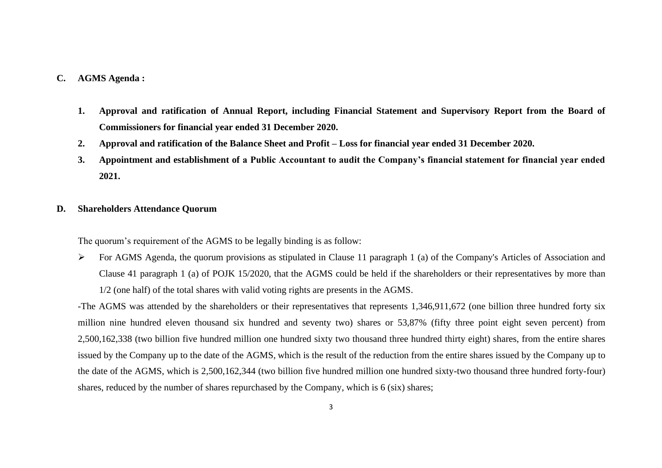#### **C. AGMS Agenda :**

- **1. Approval and ratification of Annual Report, including Financial Statement and Supervisory Report from the Board of Commissioners for financial year ended 31 December 2020.**
- **2. Approval and ratification of the Balance Sheet and Profit – Loss for financial year ended 31 December 2020.**
- **3. Appointment and establishment of a Public Accountant to audit the Company's financial statement for financial year ended 2021.**
- **D. Shareholders Attendance Quorum**

The quorum's requirement of the AGMS to be legally binding is as follow:

 $\triangleright$  For AGMS Agenda, the quorum provisions as stipulated in Clause 11 paragraph 1 (a) of the Company's Articles of Association and Clause 41 paragraph 1 (a) of POJK 15/2020, that the AGMS could be held if the shareholders or their representatives by more than 1/2 (one half) of the total shares with valid voting rights are presents in the AGMS.

-The AGMS was attended by the shareholders or their representatives that represents 1,346,911,672 (one billion three hundred forty six million nine hundred eleven thousand six hundred and seventy two) shares or 53,87% (fifty three point eight seven percent) from 2,500,162,338 (two billion five hundred million one hundred sixty two thousand three hundred thirty eight) shares, from the entire shares issued by the Company up to the date of the AGMS, which is the result of the reduction from the entire shares issued by the Company up to the date of the AGMS, which is 2,500,162,344 (two billion five hundred million one hundred sixty-two thousand three hundred forty-four) shares, reduced by the number of shares repurchased by the Company, which is 6 (six) shares;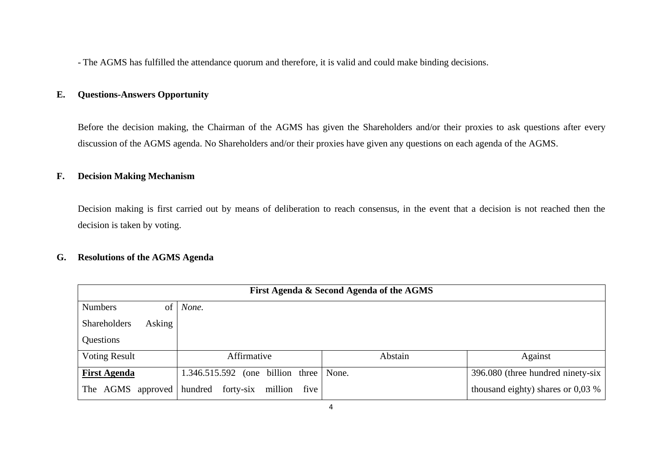- The AGMS has fulfilled the attendance quorum and therefore, it is valid and could make binding decisions.

# **E. Questions-Answers Opportunity**

Before the decision making, the Chairman of the AGMS has given the Shareholders and/or their proxies to ask questions after every discussion of the AGMS agenda. No Shareholders and/or their proxies have given any questions on each agenda of the AGMS.

#### **F. Decision Making Mechanism**

Decision making is first carried out by means of deliberation to reach consensus, in the event that a decision is not reached then the decision is taken by voting.

## **G. Resolutions of the AGMS Agenda**

| First Agenda & Second Agenda of the AGMS |        |                           |                           |  |         |                                     |
|------------------------------------------|--------|---------------------------|---------------------------|--|---------|-------------------------------------|
| <b>Numbers</b>                           | of     | None.                     |                           |  |         |                                     |
| <b>Shareholders</b>                      | Asking |                           |                           |  |         |                                     |
| Questions                                |        |                           |                           |  |         |                                     |
| <b>Voting Result</b>                     |        | Affirmative               |                           |  | Abstain | Against                             |
| <b>First Agenda</b>                      |        | 1.346.515.592             | (one billion three None.) |  |         | 396.080 (three hundred ninety-six   |
| The AGMS approved                        |        | hundred forty-six million | five                      |  |         | thousand eighty) shares or $0.03\%$ |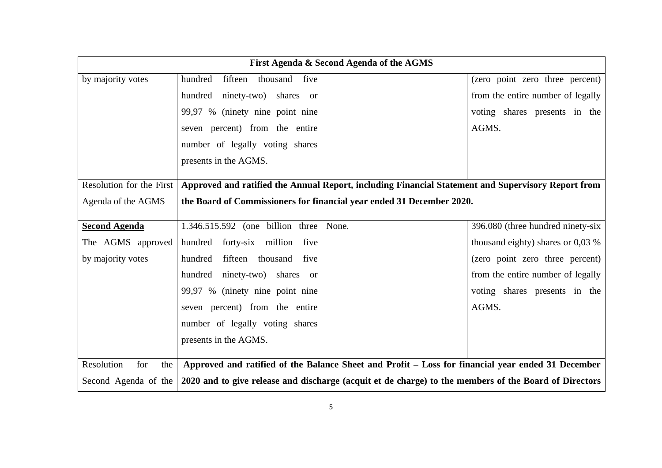| First Agenda & Second Agenda of the AGMS |                                     |                                                                                                       |                                     |
|------------------------------------------|-------------------------------------|-------------------------------------------------------------------------------------------------------|-------------------------------------|
| by majority votes                        | fifteen thousand<br>five<br>hundred |                                                                                                       | (zero point zero three percent)     |
|                                          | hundred ninety-two) shares or       |                                                                                                       | from the entire number of legally   |
|                                          | 99,97 % (ninety nine point nine     |                                                                                                       | voting shares presents in the       |
|                                          | seven percent) from the entire      |                                                                                                       | AGMS.                               |
|                                          | number of legally voting shares     |                                                                                                       |                                     |
|                                          | presents in the AGMS.               |                                                                                                       |                                     |
|                                          |                                     |                                                                                                       |                                     |
| Resolution for the First                 |                                     | Approved and ratified the Annual Report, including Financial Statement and Supervisory Report from    |                                     |
| Agenda of the AGMS                       |                                     | the Board of Commissioners for financial year ended 31 December 2020.                                 |                                     |
| <b>Second Agenda</b>                     | 1.346.515.592 (one billion three    | None.                                                                                                 | 396.080 (three hundred ninety-six   |
| The AGMS approved                        | hundred forty-six million five      |                                                                                                       | thousand eighty) shares or $0.03\%$ |
| by majority votes                        | hundred fifteen thousand<br>five    |                                                                                                       | (zero point zero three percent)     |
|                                          | hundred ninety-two) shares or       |                                                                                                       | from the entire number of legally   |
|                                          | 99,97 % (ninety nine point nine     |                                                                                                       | voting shares presents in the       |
|                                          | seven percent) from the entire      |                                                                                                       | AGMS.                               |
|                                          | number of legally voting shares     |                                                                                                       |                                     |
|                                          | presents in the AGMS.               |                                                                                                       |                                     |
|                                          |                                     |                                                                                                       |                                     |
| Resolution<br>for<br>the                 |                                     | Approved and ratified of the Balance Sheet and Profit - Loss for financial year ended 31 December     |                                     |
| Second Agenda of the                     |                                     | 2020 and to give release and discharge (acquit et de charge) to the members of the Board of Directors |                                     |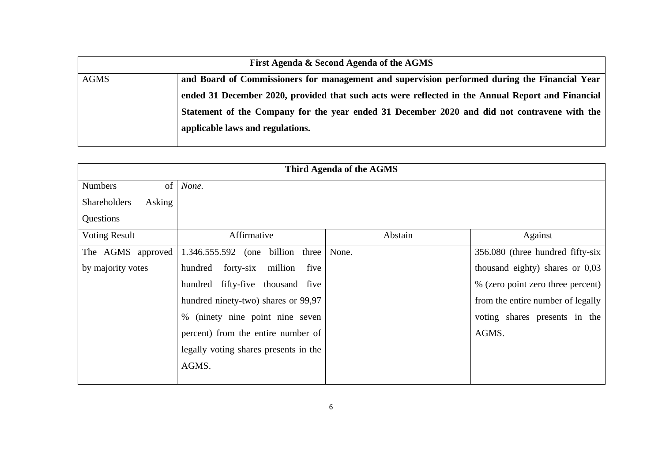|             | First Agenda & Second Agenda of the AGMS                                                          |
|-------------|---------------------------------------------------------------------------------------------------|
| <b>AGMS</b> | and Board of Commissioners for management and supervision performed during the Financial Year     |
|             | ended 31 December 2020, provided that such acts were reflected in the Annual Report and Financial |
|             | Statement of the Company for the year ended 31 December 2020 and did not contravene with the      |
|             | applicable laws and regulations.                                                                  |
|             |                                                                                                   |

| Third Agenda of the AGMS      |                                         |         |                                   |  |
|-------------------------------|-----------------------------------------|---------|-----------------------------------|--|
| of<br><b>Numbers</b>          | None.                                   |         |                                   |  |
| <b>Shareholders</b><br>Asking |                                         |         |                                   |  |
| Questions                     |                                         |         |                                   |  |
| <b>Voting Result</b>          | Affirmative                             | Abstain | Against                           |  |
| The AGMS approved             | 1.346.555.592 (one billion<br>three     | None.   | 356.080 (three hundred fifty-six  |  |
| by majority votes             | million<br>forty-six<br>hundred<br>five |         | thousand eighty) shares or $0,03$ |  |
|                               | hundred fifty-five thousand five        |         | % (zero point zero three percent) |  |
|                               | hundred ninety-two) shares or 99,97     |         | from the entire number of legally |  |
|                               | % (ninety nine point nine seven         |         | voting shares presents in the     |  |
|                               | percent) from the entire number of      |         | AGMS.                             |  |
|                               | legally voting shares presents in the   |         |                                   |  |
|                               | AGMS.                                   |         |                                   |  |
|                               |                                         |         |                                   |  |